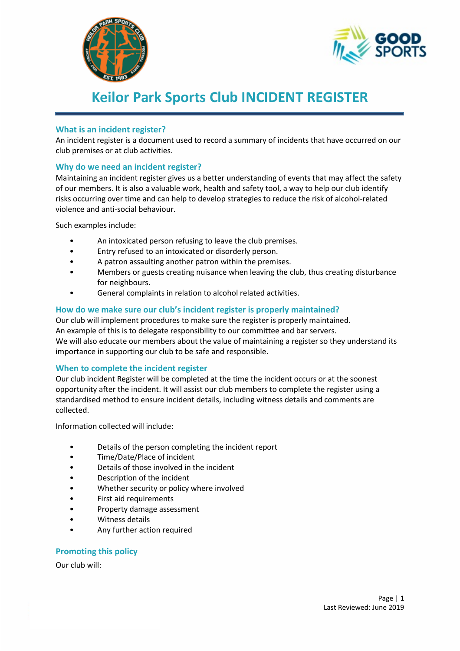



# **Keilor Park Sports Club INCIDENT REGISTER**

# **What is an incident register?**

An incident register is a document used to record a summary of incidents that have occurred on our club premises or at club activities.

#### **Why do we need an incident register?**

Maintaining an incident register gives us a better understanding of events that may affect the safety of our members. It is also a valuable work, health and safety tool, a way to help our club identify risks occurring over time and can help to develop strategies to reduce the risk of alcohol-related violence and anti-social behaviour.

Such examples include:

- An intoxicated person refusing to leave the club premises.
- Entry refused to an intoxicated or disorderly person.
- A patron assaulting another patron within the premises.
- Members or guests creating nuisance when leaving the club, thus creating disturbance for neighbours.
- General complaints in relation to alcohol related activities.

## **How do we make sure our club's incident register is properly maintained?**

Our club will implement procedures to make sure the register is properly maintained. An example of this is to delegate responsibility to our committee and bar servers. We will also educate our members about the value of maintaining a register so they understand its importance in supporting our club to be safe and responsible.

## **When to complete the incident register**

Our club incident Register will be completed at the time the incident occurs or at the soonest opportunity after the incident. It will assist our club members to complete the register using a standardised method to ensure incident details, including witness details and comments are collected.

Information collected will include:

- Details of the person completing the incident report
- Time/Date/Place of incident
- Details of those involved in the incident
- Description of the incident
- Whether security or policy where involved
- First aid requirements
- Property damage assessment
- Witness details
- Any further action required

## **Promoting this policy**

Our club will: